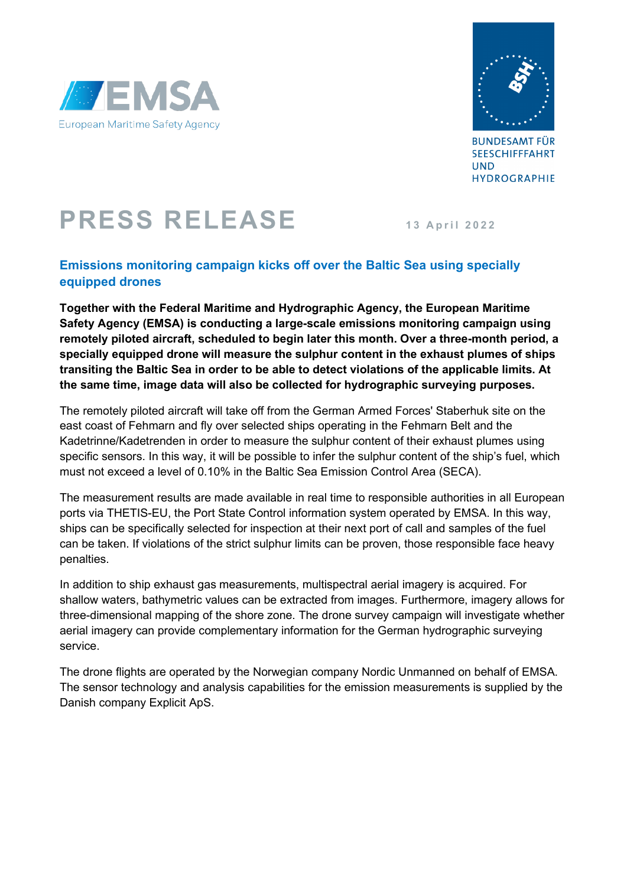



**BUNDESAMT FÜR SEESCHIFFFAHRT UND HYDROGRAPHIE** 

## **PRESS RELEASE 13 April 2022**

## **Emissions monitoring campaign kicks off over the Baltic Sea using specially equipped drones**

**Together with the Federal Maritime and Hydrographic Agency, the European Maritime Safety Agency (EMSA) is conducting a large-scale emissions monitoring campaign using remotely piloted aircraft, scheduled to begin later this month. Over a three-month period, a specially equipped drone will measure the sulphur content in the exhaust plumes of ships transiting the Baltic Sea in order to be able to detect violations of the applicable limits. At the same time, image data will also be collected for hydrographic surveying purposes.**

The remotely piloted aircraft will take off from the German Armed Forces' Staberhuk site on the east coast of Fehmarn and fly over selected ships operating in the Fehmarn Belt and the Kadetrinne/Kadetrenden in order to measure the sulphur content of their exhaust plumes using specific sensors. In this way, it will be possible to infer the sulphur content of the ship's fuel, which must not exceed a level of 0.10% in the Baltic Sea Emission Control Area (SECA).

The measurement results are made available in real time to responsible authorities in all European ports via THETIS-EU, the Port State Control information system operated by EMSA. In this way, ships can be specifically selected for inspection at their next port of call and samples of the fuel can be taken. If violations of the strict sulphur limits can be proven, those responsible face heavy penalties.

In addition to ship exhaust gas measurements, multispectral aerial imagery is acquired. For shallow waters, bathymetric values can be extracted from images. Furthermore, imagery allows for three-dimensional mapping of the shore zone. The drone survey campaign will investigate whether aerial imagery can provide complementary information for the German hydrographic surveying service.

The drone flights are operated by the Norwegian company Nordic Unmanned on behalf of EMSA. The sensor technology and analysis capabilities for the emission measurements is supplied by the Danish company Explicit ApS.